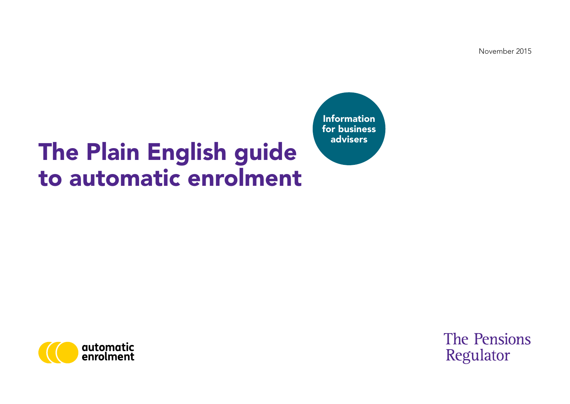November 2015

## The Plain English guide to automatic enrolment

Information for business advisers



**The Pensions** Regulator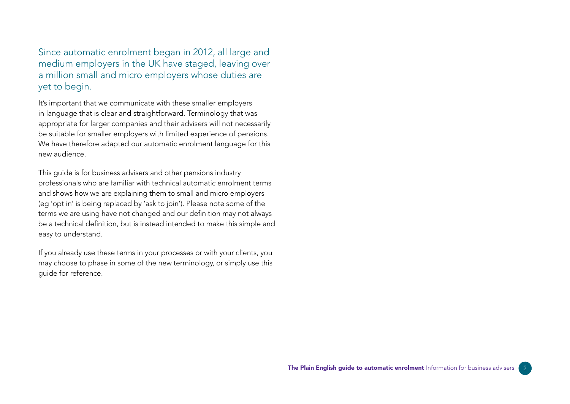Since automatic enrolment began in 2012, all large and medium employers in the UK have staged, leaving over a million small and micro employers whose duties are yet to begin.

It's important that we communicate with these smaller employers in language that is clear and straightforward. Terminology that was appropriate for larger companies and their advisers will not necessarily be suitable for smaller employers with limited experience of pensions. We have therefore adapted our automatic enrolment language for this new audience.

This guide is for business advisers and other pensions industry professionals who are familiar with technical automatic enrolment terms and shows how we are explaining them to small and micro employers (eg 'opt in' is being replaced by 'ask to join'). Please note some of the terms we are using have not changed and our definition may not always be a technical definition, but is instead intended to make this simple and easy to understand.

If you already use these terms in your processes or with your clients, you may choose to phase in some of the new terminology, or simply use this guide for reference.

 $\frac{1}{2}$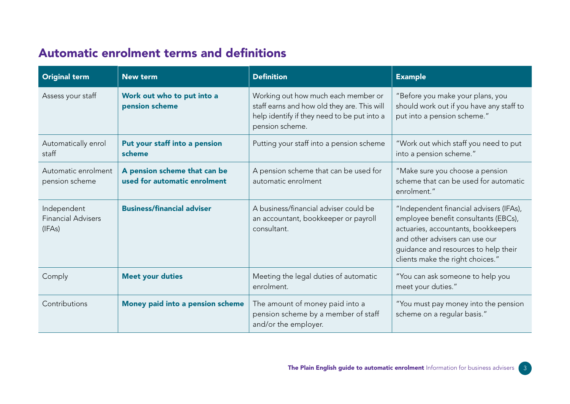## Automatic enrolment terms and definitions

| <b>Original term</b>                               | <b>New term</b>                                              | <b>Definition</b>                                                                                                                                    | <b>Example</b>                                                                                                                                                                                                                       |
|----------------------------------------------------|--------------------------------------------------------------|------------------------------------------------------------------------------------------------------------------------------------------------------|--------------------------------------------------------------------------------------------------------------------------------------------------------------------------------------------------------------------------------------|
| Assess your staff                                  | Work out who to put into a<br>pension scheme                 | Working out how much each member or<br>staff earns and how old they are. This will<br>help identify if they need to be put into a<br>pension scheme. | "Before you make your plans, you<br>should work out if you have any staff to<br>put into a pension scheme."                                                                                                                          |
| Automatically enrol<br>staff                       | Put your staff into a pension<br>scheme                      | Putting your staff into a pension scheme                                                                                                             | "Work out which staff you need to put<br>into a pension scheme."                                                                                                                                                                     |
| Automatic enrolment<br>pension scheme              | A pension scheme that can be<br>used for automatic enrolment | A pension scheme that can be used for<br>automatic enrolment                                                                                         | "Make sure you choose a pension<br>scheme that can be used for automatic<br>enrolment."                                                                                                                                              |
| Independent<br><b>Financial Advisers</b><br>(IFAs) | <b>Business/financial adviser</b>                            | A business/financial adviser could be<br>an accountant, bookkeeper or payroll<br>consultant.                                                         | "Independent financial advisers (IFAs),<br>employee benefit consultants (EBCs),<br>actuaries, accountants, bookkeepers<br>and other advisers can use our<br>guidance and resources to help their<br>clients make the right choices." |
| Comply                                             | <b>Meet your duties</b>                                      | Meeting the legal duties of automatic<br>enrolment.                                                                                                  | "You can ask someone to help you<br>meet your duties."                                                                                                                                                                               |
| Contributions                                      | Money paid into a pension scheme                             | The amount of money paid into a<br>pension scheme by a member of staff<br>and/or the employer.                                                       | "You must pay money into the pension<br>scheme on a regular basis."                                                                                                                                                                  |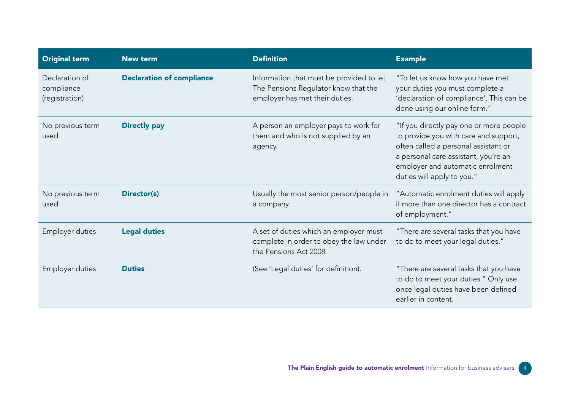| <b>Original term</b>                           | <b>New term</b>                  | <b>Definition</b>                                                                                                  | <b>Example</b>                                                                                                                                                                                                                     |
|------------------------------------------------|----------------------------------|--------------------------------------------------------------------------------------------------------------------|------------------------------------------------------------------------------------------------------------------------------------------------------------------------------------------------------------------------------------|
| Declaration of<br>compliance<br>(registration) | <b>Declaration of compliance</b> | Information that must be provided to let<br>The Pensions Regulator know that the<br>employer has met their duties. | "To let us know how you have met<br>your duties you must complete a<br>'declaration of compliance'. This can be<br>done using our online form."                                                                                    |
| No previous term<br>used                       | <b>Directly pay</b>              | A person an employer pays to work for<br>them and who is not supplied by an<br>agency.                             | "If you directly pay one or more people<br>to provide you with care and support,<br>often called a personal assistant or<br>a personal care assistant, you're an<br>employer and automatic enrolment<br>duties will apply to you." |
| No previous term<br>used                       | Director(s)                      | Usually the most senior person/people in<br>a company.                                                             | "Automatic enrolment duties will apply<br>if more than one director has a contract<br>of employment."                                                                                                                              |
| Employer duties                                | <b>Legal duties</b>              | A set of duties which an employer must<br>complete in order to obey the law under<br>the Pensions Act 2008.        | "There are several tasks that you have<br>to do to meet your legal duties."                                                                                                                                                        |
| Employer duties                                | <b>Duties</b>                    | (See 'Legal duties' for definition).                                                                               | "There are several tasks that you have<br>to do to meet your duties." Only use<br>once legal duties have been defined<br>earlier in content.                                                                                       |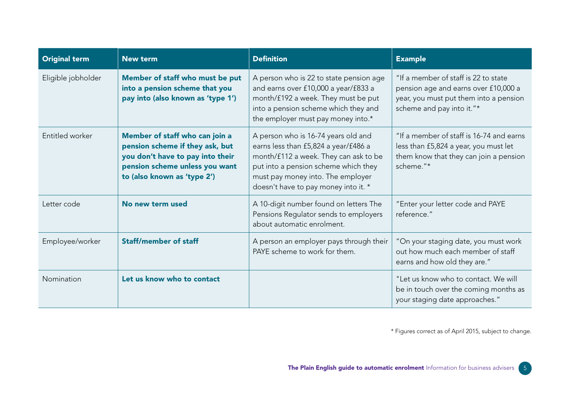| <b>Original term</b> | <b>New term</b>                                                                                                                                                        | <b>Definition</b>                                                                                                                                                                                                                         | <b>Example</b>                                                                                                                                      |
|----------------------|------------------------------------------------------------------------------------------------------------------------------------------------------------------------|-------------------------------------------------------------------------------------------------------------------------------------------------------------------------------------------------------------------------------------------|-----------------------------------------------------------------------------------------------------------------------------------------------------|
| Eligible jobholder   | Member of staff who must be put<br>into a pension scheme that you<br>pay into (also known as 'type 1')                                                                 | A person who is 22 to state pension age<br>and earns over £10,000 a year/£833 a<br>month/£192 a week. They must be put<br>into a pension scheme which they and<br>the employer must pay money into.*                                      | "If a member of staff is 22 to state<br>pension age and earns over £10,000 a<br>year, you must put them into a pension<br>scheme and pay into it."* |
| Entitled worker      | Member of staff who can join a<br>pension scheme if they ask, but<br>you don't have to pay into their<br>pension scheme unless you want<br>to (also known as 'type 2') | A person who is 16-74 years old and<br>earns less than £5,824 a year/£486 a<br>month/f112 a week. They can ask to be<br>put into a pension scheme which they<br>must pay money into. The employer<br>doesn't have to pay money into it. * | "If a member of staff is 16-74 and earns<br>less than £5,824 a year, you must let<br>them know that they can join a pension<br>scheme."*            |
| Letter code          | No new term used                                                                                                                                                       | A 10-digit number found on letters The<br>Pensions Regulator sends to employers<br>about automatic enrolment.                                                                                                                             | "Enter your letter code and PAYE<br>reference."                                                                                                     |
| Employee/worker      | <b>Staff/member of staff</b>                                                                                                                                           | A person an employer pays through their<br>PAYE scheme to work for them.                                                                                                                                                                  | "On your staging date, you must work<br>out how much each member of staff<br>earns and how old they are."                                           |
| Nomination           | Let us know who to contact                                                                                                                                             |                                                                                                                                                                                                                                           | "Let us know who to contact. We will<br>be in touch over the coming months as<br>your staging date approaches."                                     |

\* Figures correct as of April 2015, subject to change.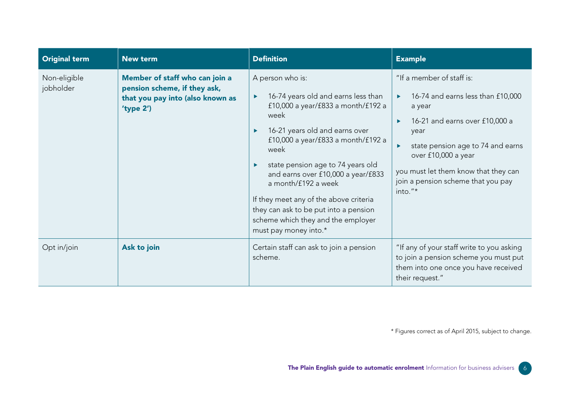| <b>Original term</b>      | <b>New term</b>                                                                                                 | <b>Definition</b>                                                                                                                                                                                                                                                                                                                                                                                                                                     | <b>Example</b>                                                                                                                                                                                                                                                                                                            |
|---------------------------|-----------------------------------------------------------------------------------------------------------------|-------------------------------------------------------------------------------------------------------------------------------------------------------------------------------------------------------------------------------------------------------------------------------------------------------------------------------------------------------------------------------------------------------------------------------------------------------|---------------------------------------------------------------------------------------------------------------------------------------------------------------------------------------------------------------------------------------------------------------------------------------------------------------------------|
| Non-eligible<br>jobholder | Member of staff who can join a<br>pension scheme, if they ask,<br>that you pay into (also known as<br>'type 2') | A person who is:<br>16-74 years old and earns less than<br>£10,000 a year/ $f833$ a month/ $f192$ a<br>week<br>16-21 years old and earns over<br>£10,000 a year/ $f833$ a month/ $f192$ a<br>week<br>state pension age to 74 years old<br>and earns over £10,000 a year/£833<br>a month/£192 a week<br>If they meet any of the above criteria<br>they can ask to be put into a pension<br>scheme which they and the employer<br>must pay money into.* | "If a member of staff is:<br>16-74 and earns less than £10,000<br>a year<br>16-21 and earns over £10,000 a<br>$\blacktriangleright$<br>year<br>state pension age to 74 and earns<br>$\blacktriangleright$<br>over £10,000 a year<br>you must let them know that they can<br>join a pension scheme that you pay<br>into."* |
| Opt in/join               | Ask to join                                                                                                     | Certain staff can ask to join a pension<br>scheme.                                                                                                                                                                                                                                                                                                                                                                                                    | "If any of your staff write to you asking<br>to join a pension scheme you must put<br>them into one once you have received<br>their request."                                                                                                                                                                             |

\* Figures correct as of April 2015, subject to change.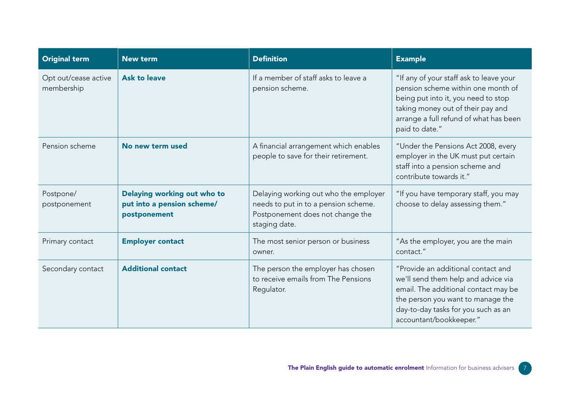| <b>Original term</b>               | <b>New term</b>                                                           | <b>Definition</b>                                                                                                                  | <b>Example</b>                                                                                                                                                                                                           |
|------------------------------------|---------------------------------------------------------------------------|------------------------------------------------------------------------------------------------------------------------------------|--------------------------------------------------------------------------------------------------------------------------------------------------------------------------------------------------------------------------|
| Opt out/cease active<br>membership | <b>Ask to leave</b>                                                       | If a member of staff asks to leave a<br>pension scheme.                                                                            | "If any of your staff ask to leave your<br>pension scheme within one month of<br>being put into it, you need to stop<br>taking money out of their pay and<br>arrange a full refund of what has been<br>paid to date."    |
| Pension scheme                     | No new term used                                                          | A financial arrangement which enables<br>people to save for their retirement.                                                      | "Under the Pensions Act 2008, every<br>employer in the UK must put certain<br>staff into a pension scheme and<br>contribute towards it."                                                                                 |
| Postpone/<br>postponement          | Delaying working out who to<br>put into a pension scheme/<br>postponement | Delaying working out who the employer<br>needs to put in to a pension scheme.<br>Postponement does not change the<br>staging date. | "If you have temporary staff, you may<br>choose to delay assessing them."                                                                                                                                                |
| Primary contact                    | <b>Employer contact</b>                                                   | The most senior person or business<br>owner.                                                                                       | "As the employer, you are the main<br>contact."                                                                                                                                                                          |
| Secondary contact                  | <b>Additional contact</b>                                                 | The person the employer has chosen<br>to receive emails from The Pensions<br>Regulator.                                            | "Provide an additional contact and<br>we'll send them help and advice via<br>email. The additional contact may be<br>the person you want to manage the<br>day-to-day tasks for you such as an<br>accountant/bookkeeper." |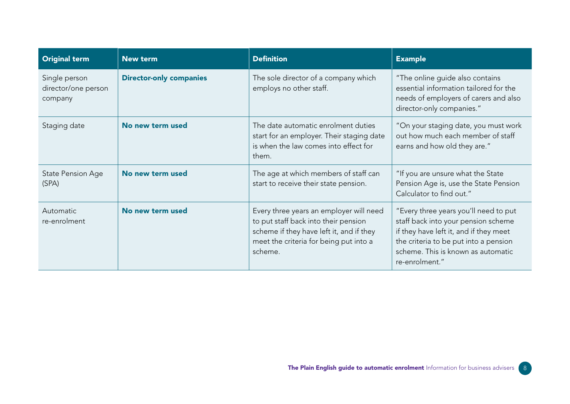| <b>Original term</b>                            | <b>New term</b>                | <b>Definition</b>                                                                                                                                                                | <b>Example</b>                                                                                                                                                                                                          |
|-------------------------------------------------|--------------------------------|----------------------------------------------------------------------------------------------------------------------------------------------------------------------------------|-------------------------------------------------------------------------------------------------------------------------------------------------------------------------------------------------------------------------|
| Single person<br>director/one person<br>company | <b>Director-only companies</b> | The sole director of a company which<br>employs no other staff.                                                                                                                  | "The online guide also contains<br>essential information tailored for the<br>needs of employers of carers and also<br>director-only companies."                                                                         |
| Staging date                                    | No new term used               | The date automatic enrolment duties<br>start for an employer. Their staging date<br>is when the law comes into effect for<br>them.                                               | "On your staging date, you must work<br>out how much each member of staff<br>earns and how old they are."                                                                                                               |
| State Pension Age<br>(SPA)                      | No new term used               | The age at which members of staff can<br>start to receive their state pension.                                                                                                   | "If you are unsure what the State<br>Pension Age is, use the State Pension<br>Calculator to find out."                                                                                                                  |
| Automatic<br>re-enrolment                       | No new term used               | Every three years an employer will need<br>to put staff back into their pension<br>scheme if they have left it, and if they<br>meet the criteria for being put into a<br>scheme. | "Every three years you'll need to put<br>staff back into your pension scheme<br>if they have left it, and if they meet<br>the criteria to be put into a pension<br>scheme. This is known as automatic<br>re-enrolment." |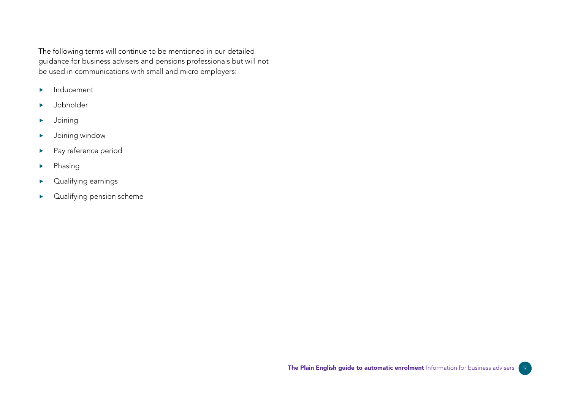The following terms will continue to be mentioned in our detailed guidance for business advisers and pensions professionals but will not be used in communications with small and micro employers:

- $\blacktriangleright$  Inducement
- Jobholder
- Joining
- Joining window
- **Pay reference period**
- $\blacktriangleright$  Phasing
- Qualifying earnings
- **Dualifying pension scheme**